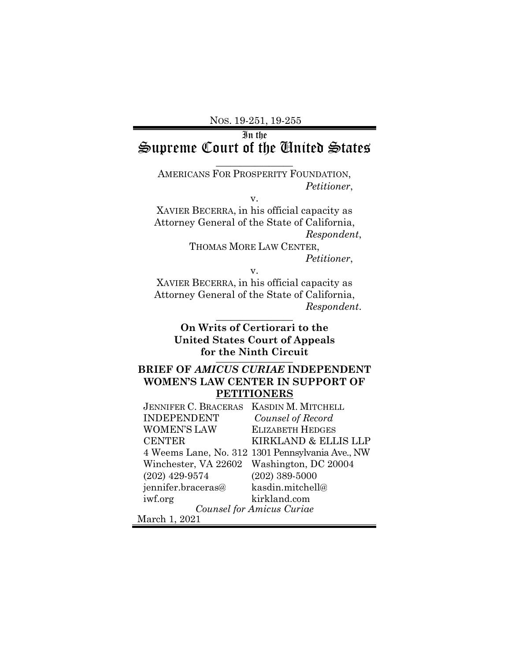## In the Supreme Court of the United States

AMERICANS FOR PROSPERITY FOUNDATION, *Petitioner*,

 $\overline{\phantom{a}}$  , where  $\overline{\phantom{a}}$ 

v.

XAVIER BECERRA, in his official capacity as Attorney General of the State of California, *Respondent*, THOMAS MORE LAW CENTER,

*Petitioner*,

v.

XAVIER BECERRA, in his official capacity as Attorney General of the State of California,  $Respondent.$ 

**On Writs of Certiorari to the United States Court of Appeals**  for the Ninth Circuit

## **BRIEF OF** *AMICUS CURIAE* **INDEPENDENT WOMEN'S LAW CENTER IN SUPPORT OF PETITIONERS**

| <b>JENNIFER C. BRACERAS</b> | <b>KASDIN M. MITCHELL</b>                        |
|-----------------------------|--------------------------------------------------|
| <b>INDEPENDENT</b>          | Counsel of Record                                |
| <b>WOMEN'S LAW</b>          | <b>ELIZABETH HEDGES</b>                          |
| <b>CENTER</b>               | KIRKLAND & ELLIS LLP                             |
|                             | 4 Weems Lane, No. 312 1301 Pennsylvania Ave., NW |
| Winchester, VA 22602        | Washington, DC 20004                             |
| $(202)$ 429-9574            | $(202)$ 389-5000                                 |
| jennifer.braceras@          | kasdin.mitchell@                                 |
| iwf.org                     | kirkland.com                                     |
| Counsel for Amicus Curiae   |                                                  |
| March 1, 2021               |                                                  |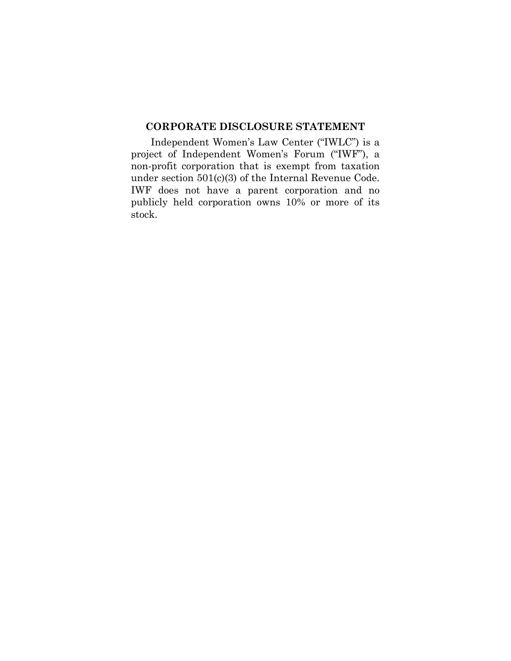### <span id="page-1-0"></span>**CORPORATE DISCLOSURE STATEMENT**

Independent Women's Law Center ("IWLC") is a project of Independent Women's Forum ("IWF"), a non-profit corporation that is exempt from taxation under section 501(c)(3) of the Internal Revenue Code. IWF does not have a parent corporation and no publicly held corporation owns 10% or more of its stock.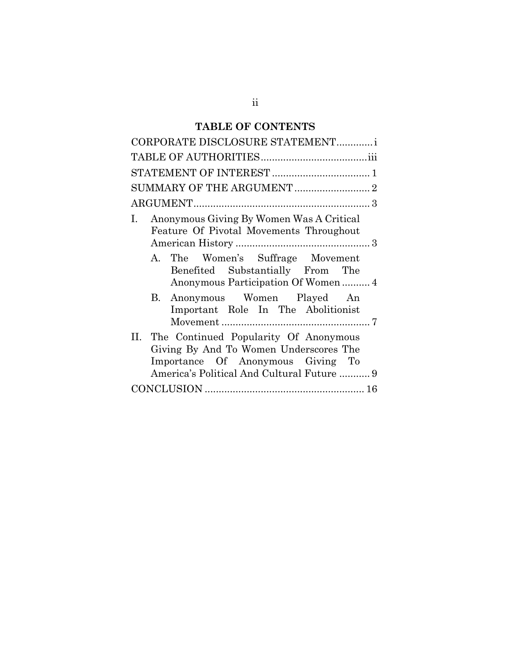# **TABLE OF CONTENTS**

| CORPORATE DISCLOSURE STATEMENTi                                                                                                                                        |
|------------------------------------------------------------------------------------------------------------------------------------------------------------------------|
|                                                                                                                                                                        |
|                                                                                                                                                                        |
|                                                                                                                                                                        |
|                                                                                                                                                                        |
| Anonymous Giving By Women Was A Critical<br>1.<br>Feature Of Pivotal Movements Throughout<br>A. The Women's Suffrage Movement<br>Benefited Substantially From The      |
| Anonymous Participation Of Women4<br>B. Anonymous Women Played An<br>Important Role In The Abolitionist                                                                |
| II. The Continued Popularity Of Anonymous<br>Giving By And To Women Underscores The<br>Importance Of Anonymous Giving To<br>America's Political And Cultural Future  9 |
|                                                                                                                                                                        |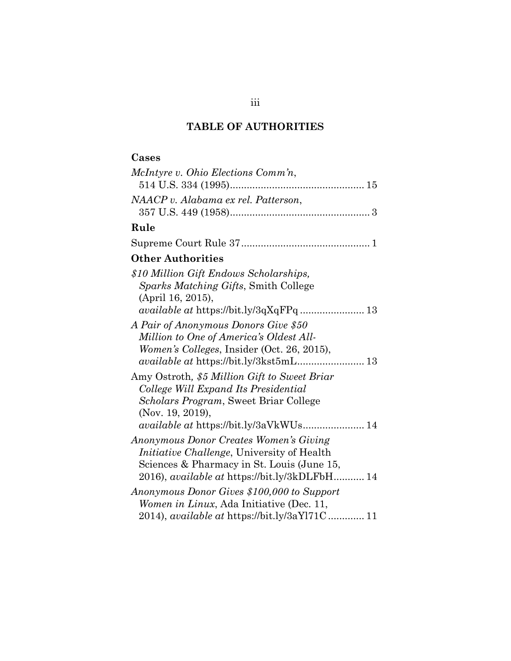## **TABLE OF AUTHORITIES**

## <span id="page-3-0"></span>**Cases**

| McIntyre v. Ohio Elections Comm'n,                   |
|------------------------------------------------------|
|                                                      |
| NAACP v. Alabama ex rel. Patterson,                  |
|                                                      |
| Rule                                                 |
|                                                      |
| <b>Other Authorities</b>                             |
| \$10 Million Gift Endows Scholarships,               |
| Sparks Matching Gifts, Smith College                 |
| (April 16, 2015),                                    |
| available at https://bit.ly/3qXqFPq  13              |
| A Pair of Anonymous Donors Give \$50                 |
| Million to One of America's Oldest All-              |
| Women's Colleges, Insider (Oct. 26, 2015),           |
|                                                      |
| Amy Ostroth, \$5 Million Gift to Sweet Briar         |
| College Will Expand Its Presidential                 |
| <i>Scholars Program, Sweet Briar College</i>         |
| (Nov. 19, 2019),                                     |
| available at https://bit.ly/3aVkWUs 14               |
| Anonymous Donor Creates Women's Giving               |
| <i>Initiative Challenge</i> , University of Health   |
| Sciences & Pharmacy in St. Louis (June 15,           |
| 2016), <i>available at https://bit.ly/3kDLFbH</i> 14 |
| Anonymous Donor Gives \$100,000 to Support           |
| Women in Linux, Ada Initiative (Dec. 11,             |
| 2014), <i>available at https://bit.ly/3aYl71C</i> 11 |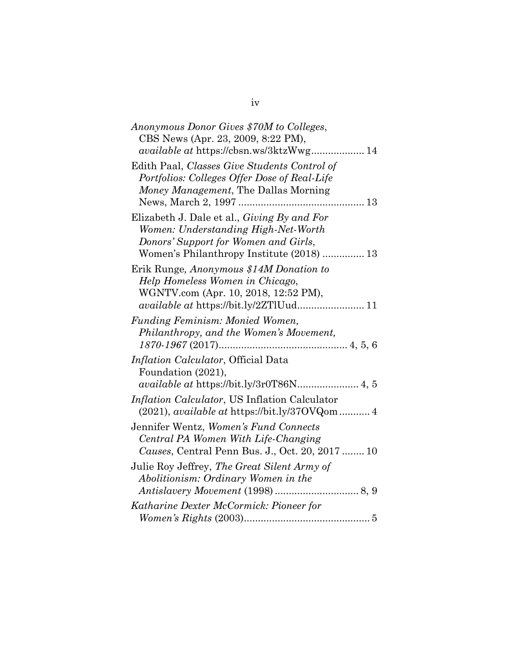| Anonymous Donor Gives \$70M to Colleges,<br>CBS News (Apr. 23, 2009, 8:22 PM),                                                                                                  |
|---------------------------------------------------------------------------------------------------------------------------------------------------------------------------------|
| available at https://cbsn.ws/3ktzWwg 14<br>Edith Paal, Classes Give Students Control of<br>Portfolios: Colleges Offer Dose of Real-Life<br>Money Management, The Dallas Morning |
|                                                                                                                                                                                 |
| Elizabeth J. Dale et al., <i>Giving By and For</i><br>Women: Understanding High-Net-Worth<br>Donors' Support for Women and Girls,<br>Women's Philanthropy Institute (2018)  13  |
| Erik Runge, Anonymous \$14M Donation to<br>Help Homeless Women in Chicago,<br>WGNTV.com (Apr. 10, 2018, 12:52 PM),                                                              |
| <b>Funding Feminism: Monied Women,</b><br>Philanthropy, and the Women's Movement,                                                                                               |
| Inflation Calculator, Official Data<br>Foundation (2021),<br>available at https://bit.ly/3r0T86N 4, 5                                                                           |
| Inflation Calculator, US Inflation Calculator<br>$(2021)$ , <i>available at https://bit.ly/370VQom </i> 4                                                                       |
| Jennifer Wentz, Women's Fund Connects<br>Central PA Women With Life-Changing<br>Causes, Central Penn Bus. J., Oct. 20, 2017 10                                                  |
| Julie Roy Jeffrey, The Great Silent Army of<br>Abolitionism: Ordinary Women in the                                                                                              |
| Katharine Dexter McCormick: Pioneer for                                                                                                                                         |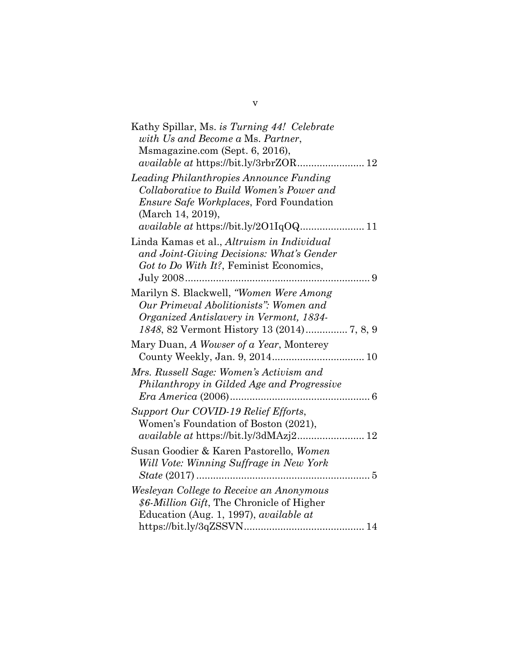| Kathy Spillar, Ms. is Turning 44! Celebrate                                                                                                                 |
|-------------------------------------------------------------------------------------------------------------------------------------------------------------|
| with Us and Become a Ms. Partner,                                                                                                                           |
| Msmagazine.com (Sept. 6, 2016),                                                                                                                             |
| available at https://bit.ly/3rbrZOR 12                                                                                                                      |
| Leading Philanthropies Announce Funding<br>Collaborative to Build Women's Power and<br><i>Ensure Safe Workplaces</i> , Ford Foundation<br>(March 14, 2019), |
| available at https://bit.ly/201Iq0Q 11                                                                                                                      |
| Linda Kamas et al., Altruism in Individual<br>and Joint-Giving Decisions: What's Gender<br>Got to Do With It?, Feminist Economics,                          |
| Marilyn S. Blackwell, "Women Were Among<br>Our Primeval Abolitionists": Women and<br>Organized Antislavery in Vermont, 1834-                                |
| Mary Duan, A Wowser of a Year, Monterey<br>County Weekly, Jan. 9, 2014 10                                                                                   |
| Mrs. Russell Sage: Women's Activism and<br>Philanthropy in Gilded Age and Progressive                                                                       |
| Support Our COVID-19 Relief Efforts,<br>Women's Foundation of Boston (2021),                                                                                |
| Susan Goodier & Karen Pastorello, Women<br>Will Vote: Winning Suffrage in New York                                                                          |
| Wesleyan College to Receive an Anonymous<br>\$6-Million Gift, The Chronicle of Higher<br>Education (Aug. 1, 1997), <i>available at</i>                      |

v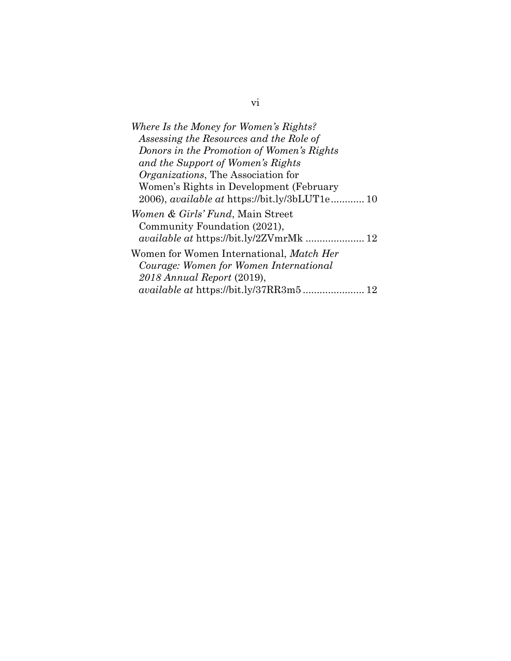vi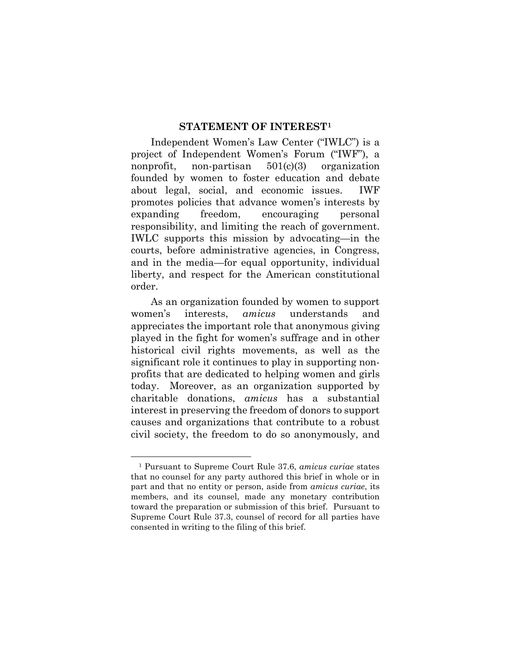#### **STATEMENT OF INTEREST[1](#page-7-1)**

<span id="page-7-0"></span>Independent Women's Law Center ("IWLC") is a project of Independent Women's Forum ("IWF"), a nonprofit, non-partisan 501(c)(3) organization founded by women to foster education and debate about legal, social, and economic issues. IWF promotes policies that advance women's interests by expanding freedom, encouraging personal responsibility, and limiting the reach of government. IWLC supports this mission by advocating—in the courts, before administrative agencies, in Congress, and in the media—for equal opportunity, individual liberty, and respect for the American constitutional order.

As an organization founded by women to support women's interests, *amicus* understands and appreciates the important role that anonymous giving played in the fight for women's suffrage and in other historical civil rights movements, as well as the significant role it continues to play in supporting nonprofits that are dedicated to helping women and girls today. Moreover, as an organization supported by charitable donations, *amicus* has a substantial interest in preserving the freedom of donors to support causes and organizations that contribute to a robust civil society, the freedom to do so anonymously, and

<u>.</u>

<span id="page-7-1"></span><sup>1</sup> Pursuant to Supreme Court Rule 37.6, *amicus curiae* states that no counsel for any party authored this brief in whole or in part and that no entity or person, aside from *amicus curiae*, its members, and its counsel, made any monetary contribution toward the preparation or submission of this brief. Pursuant to Supreme Court Rule 37.3, counsel of record for all parties have consented in writing to the filing of this brief.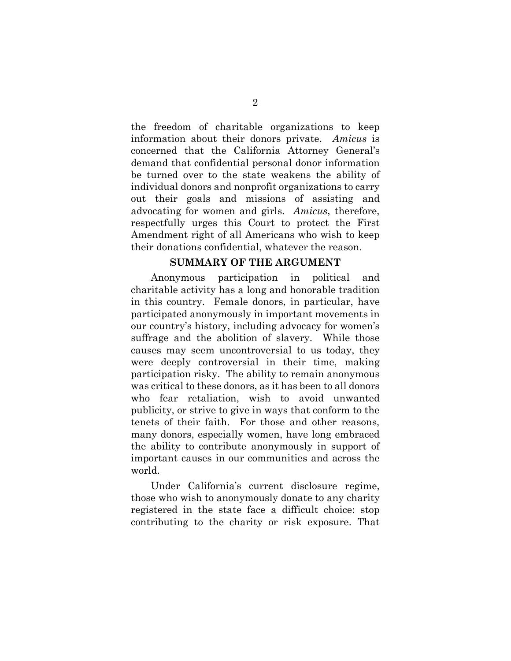the freedom of charitable organizations to keep information about their donors private. *Amicus* is concerned that the California Attorney General's demand that confidential personal donor information be turned over to the state weakens the ability of individual donors and nonprofit organizations to carry out their goals and missions of assisting and advocating for women and girls. *Amicus*, therefore, respectfully urges this Court to protect the First Amendment right of all Americans who wish to keep their donations confidential, whatever the reason.

#### **SUMMARY OF THE ARGUMENT**

<span id="page-8-0"></span>Anonymous participation in political and charitable activity has a long and honorable tradition in this country. Female donors, in particular, have participated anonymously in important movements in our country's history, including advocacy for women's suffrage and the abolition of slavery. While those causes may seem uncontroversial to us today, they were deeply controversial in their time, making participation risky. The ability to remain anonymous was critical to these donors, as it has been to all donors who fear retaliation, wish to avoid unwanted publicity, or strive to give in ways that conform to the tenets of their faith. For those and other reasons, many donors, especially women, have long embraced the ability to contribute anonymously in support of important causes in our communities and across the world.

Under California's current disclosure regime, those who wish to anonymously donate to any charity registered in the state face a difficult choice: stop contributing to the charity or risk exposure. That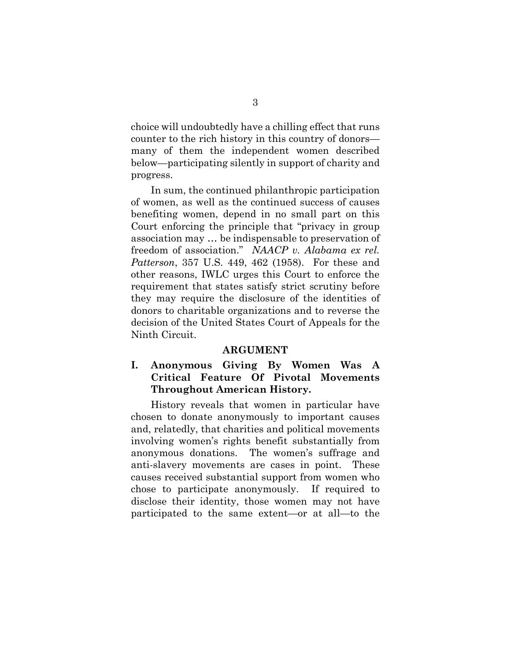choice will undoubtedly have a chilling effect that runs counter to the rich history in this country of donors many of them the independent women described below—participating silently in support of charity and progress.

In sum, the continued philanthropic participation of women, as well as the continued success of causes benefiting women, depend in no small part on this Court enforcing the principle that "privacy in group association may … be indispensable to preservation of freedom of association." *NAACP v. Alabama ex rel. Patterson*, 357 U.S. 449, 462 (1958). For these and other reasons, IWLC urges this Court to enforce the requirement that states satisfy strict scrutiny before they may require the disclosure of the identities of donors to charitable organizations and to reverse the decision of the United States Court of Appeals for the Ninth Circuit.

#### **ARGUMENT**

### <span id="page-9-1"></span><span id="page-9-0"></span>**I. Anonymous Giving By Women Was A Critical Feature Of Pivotal Movements Throughout American History.**

History reveals that women in particular have chosen to donate anonymously to important causes and, relatedly, that charities and political movements involving women's rights benefit substantially from anonymous donations. The women's suffrage and anti-slavery movements are cases in point. These causes received substantial support from women who chose to participate anonymously. If required to disclose their identity, those women may not have participated to the same extent—or at all—to the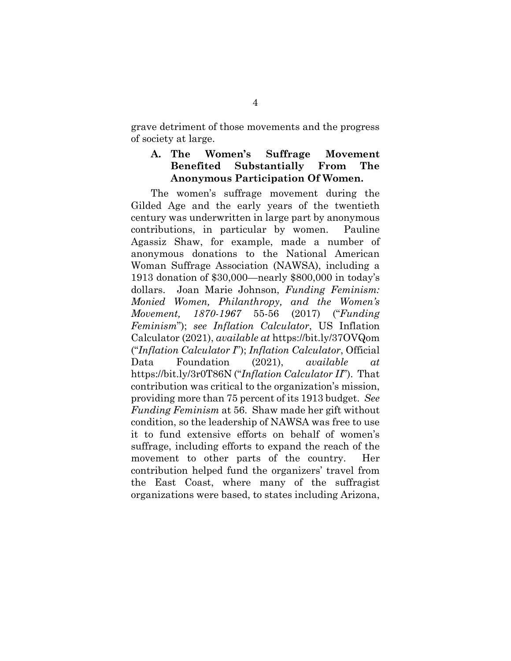grave detriment of those movements and the progress of society at large.

### <span id="page-10-0"></span>**A. The Women's Suffrage Movement Benefited Substantially From The Anonymous Participation Of Women.**

The women's suffrage movement during the Gilded Age and the early years of the twentieth century was underwritten in large part by anonymous contributions, in particular by women. Pauline Agassiz Shaw, for example, made a number of anonymous donations to the National American Woman Suffrage Association (NAWSA), including a 1913 donation of \$30,000—nearly \$800,000 in today's dollars. Joan Marie Johnson, *Funding Feminism: Monied Women, Philanthropy, and the Women's Movement, 1870-1967* 55-56 (2017) ("*Funding Feminism*"); *see Inflation Calculator*, US Inflation Calculator (2021), *available at* https://bit.ly/37OVQom ("*Inflation Calculator I*"); *Inflation Calculator*, Official Data Foundation (2021), *available at* https://bit.ly/3r0T86N ("*Inflation Calculator II*"). That contribution was critical to the organization's mission, providing more than 75 percent of its 1913 budget. *See Funding Feminism* at 56. Shaw made her gift without condition, so the leadership of NAWSA was free to use it to fund extensive efforts on behalf of women's suffrage, including efforts to expand the reach of the movement to other parts of the country. Her contribution helped fund the organizers' travel from the East Coast, where many of the suffragist organizations were based, to states including Arizona,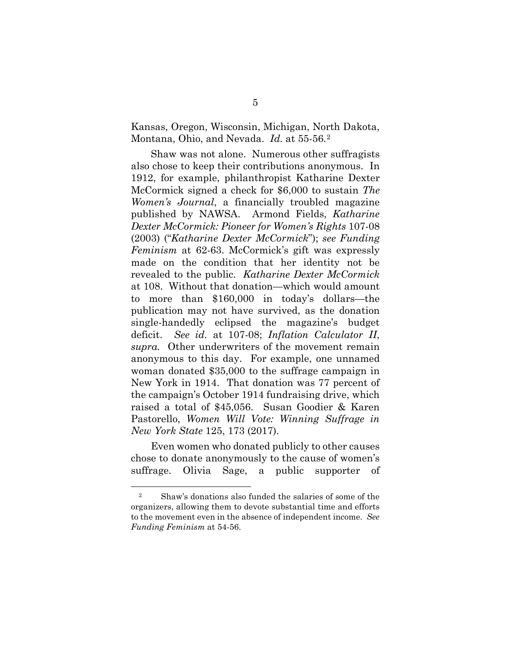Kansas, Oregon, Wisconsin, Michigan, North Dakota, Montana, Ohio, and Nevada. *Id.* at 55-56*.*[2](#page-11-0)

Shaw was not alone. Numerous other suffragists also chose to keep their contributions anonymous. In 1912, for example, philanthropist Katharine Dexter McCormick signed a check for \$6,000 to sustain *The Women's Journal*, a financially troubled magazine published by NAWSA. Armond Fields, *Katharine Dexter McCormick: Pioneer for Women's Rights* 107-08 (2003) ("*Katharine Dexter McCormick*"); *see Funding Feminism* at 62-63. McCormick's gift was expressly made on the condition that her identity not be revealed to the public. *Katharine Dexter McCormick*  at 108. Without that donation—which would amount to more than \$160,000 in today's dollars—the publication may not have survived, as the donation single-handedly eclipsed the magazine's budget deficit. *See id.* at 107-08; *Inflation Calculator II*, *supra.* Other underwriters of the movement remain anonymous to this day. For example, one unnamed woman donated \$35,000 to the suffrage campaign in New York in 1914. That donation was 77 percent of the campaign's October 1914 fundraising drive, which raised a total of \$45,056. Susan Goodier & Karen Pastorello, *Women Will Vote: Winning Suffrage in New York State* 125, 173 (2017).

Even women who donated publicly to other causes chose to donate anonymously to the cause of women's suffrage. Olivia Sage, a public supporter of

<u>.</u>

<span id="page-11-0"></span><sup>2</sup> Shaw's donations also funded the salaries of some of the organizers, allowing them to devote substantial time and efforts to the movement even in the absence of independent income. *See Funding Feminism* at 54-56.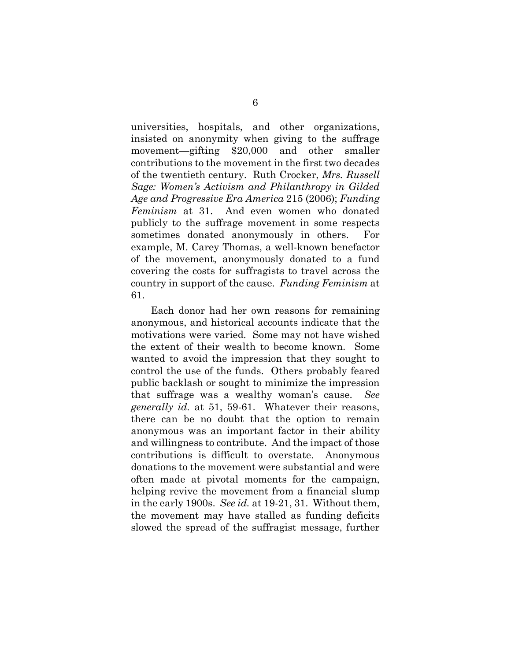universities, hospitals, and other organizations, insisted on anonymity when giving to the suffrage movement—gifting \$20,000 and other smaller contributions to the movement in the first two decades of the twentieth century. Ruth Crocker, *Mrs. Russell Sage: Women's Activism and Philanthropy in Gilded Age and Progressive Era America* 215 (2006); *Funding Feminism* at 31. And even women who donated publicly to the suffrage movement in some respects sometimes donated anonymously in others. For example, M. Carey Thomas, a well-known benefactor of the movement, anonymously donated to a fund covering the costs for suffragists to travel across the country in support of the cause. *Funding Feminism* at 61.

Each donor had her own reasons for remaining anonymous, and historical accounts indicate that the motivations were varied. Some may not have wished the extent of their wealth to become known. Some wanted to avoid the impression that they sought to control the use of the funds. Others probably feared public backlash or sought to minimize the impression that suffrage was a wealthy woman's cause. *See generally id.* at 51, 59-61. Whatever their reasons, there can be no doubt that the option to remain anonymous was an important factor in their ability and willingness to contribute. And the impact of those contributions is difficult to overstate. Anonymous donations to the movement were substantial and were often made at pivotal moments for the campaign, helping revive the movement from a financial slump in the early 1900s. *See id.* at 19-21, 31. Without them, the movement may have stalled as funding deficits slowed the spread of the suffragist message, further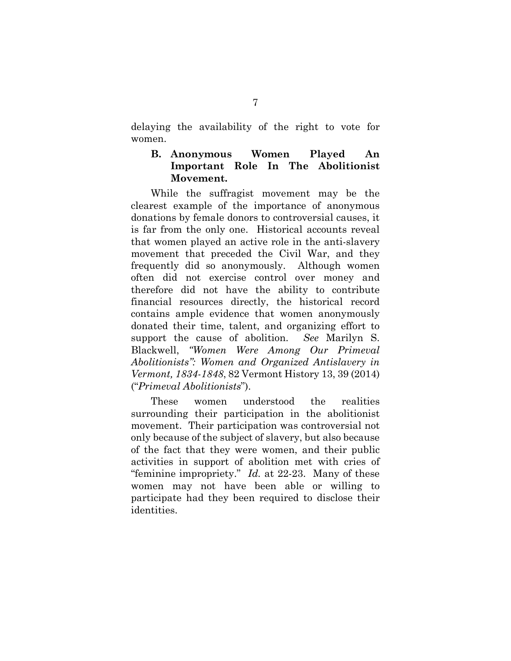delaying the availability of the right to vote for women.

### <span id="page-13-0"></span>**B. Anonymous Women Played An Important Role In The Abolitionist Movement.**

While the suffragist movement may be the clearest example of the importance of anonymous donations by female donors to controversial causes, it is far from the only one. Historical accounts reveal that women played an active role in the anti-slavery movement that preceded the Civil War, and they frequently did so anonymously. Although women often did not exercise control over money and therefore did not have the ability to contribute financial resources directly, the historical record contains ample evidence that women anonymously donated their time, talent, and organizing effort to support the cause of abolition. *See* Marilyn S. Blackwell, *"Women Were Among Our Primeval Abolitionists": Women and Organized Antislavery in Vermont, 1834-1848*, 82 Vermont History 13, 39 (2014) ("*Primeval Abolitionists*").

These women understood the realities surrounding their participation in the abolitionist movement. Their participation was controversial not only because of the subject of slavery, but also because of the fact that they were women, and their public activities in support of abolition met with cries of "feminine impropriety." *Id.* at 22-23. Many of these women may not have been able or willing to participate had they been required to disclose their identities.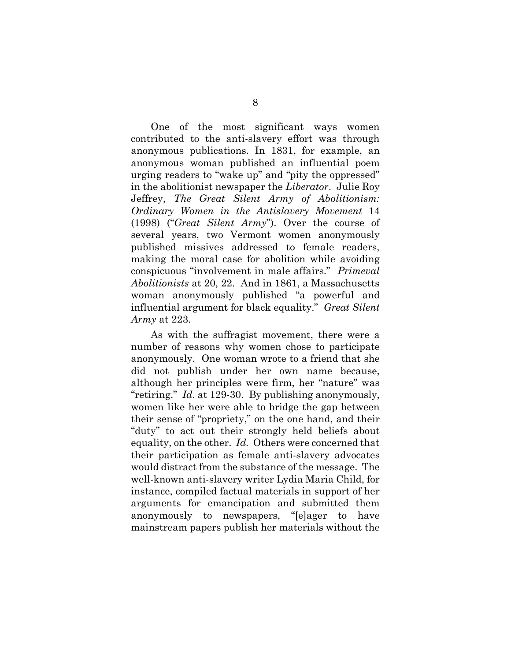One of the most significant ways women contributed to the anti-slavery effort was through anonymous publications. In 1831, for example, an anonymous woman published an influential poem urging readers to "wake up" and "pity the oppressed" in the abolitionist newspaper the *Liberator*. Julie Roy Jeffrey, *The Great Silent Army of Abolitionism: Ordinary Women in the Antislavery Movement* 14 (1998) ("*Great Silent Army*"). Over the course of several years, two Vermont women anonymously published missives addressed to female readers, making the moral case for abolition while avoiding conspicuous "involvement in male affairs." *Primeval Abolitionists* at 20, 22. And in 1861, a Massachusetts woman anonymously published "a powerful and influential argument for black equality." *Great Silent Army* at 223.

As with the suffragist movement, there were a number of reasons why women chose to participate anonymously. One woman wrote to a friend that she did not publish under her own name because, although her principles were firm, her "nature" was "retiring." *Id.* at 129-30. By publishing anonymously, women like her were able to bridge the gap between their sense of "propriety," on the one hand, and their "duty" to act out their strongly held beliefs about equality, on the other. *Id.* Others were concerned that their participation as female anti-slavery advocates would distract from the substance of the message. The well-known anti-slavery writer Lydia Maria Child, for instance, compiled factual materials in support of her arguments for emancipation and submitted them anonymously to newspapers, "[e]ager to have mainstream papers publish her materials without the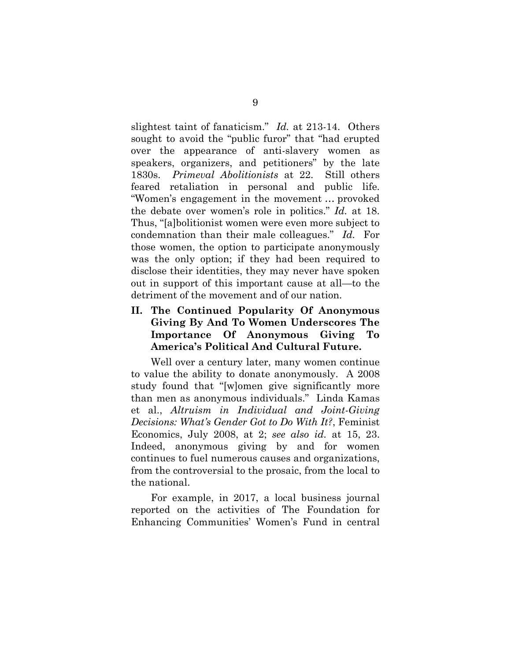slightest taint of fanaticism." *Id.* at 213-14. Others sought to avoid the "public furor" that "had erupted over the appearance of anti-slavery women as speakers, organizers, and petitioners" by the late 1830s. *Primeval Abolitionists* at 22. Still others feared retaliation in personal and public life. "Women's engagement in the movement … provoked the debate over women's role in politics." *Id.* at 18. Thus, "[a]bolitionist women were even more subject to condemnation than their male colleagues." *Id.* For those women, the option to participate anonymously was the only option; if they had been required to disclose their identities, they may never have spoken out in support of this important cause at all—to the detriment of the movement and of our nation.

## <span id="page-15-0"></span>**II. The Continued Popularity Of Anonymous Giving By And To Women Underscores The Importance Of Anonymous Giving To America's Political And Cultural Future.**

Well over a century later, many women continue to value the ability to donate anonymously. A 2008 study found that "[w]omen give significantly more than men as anonymous individuals." Linda Kamas et al., *Altruism in Individual and Joint-Giving Decisions: What's Gender Got to Do With It?*, Feminist Economics, July 2008, at 2; *see also id.* at 15, 23. Indeed, anonymous giving by and for women continues to fuel numerous causes and organizations, from the controversial to the prosaic, from the local to the national.

For example, in 2017, a local business journal reported on the activities of The Foundation for Enhancing Communities' Women's Fund in central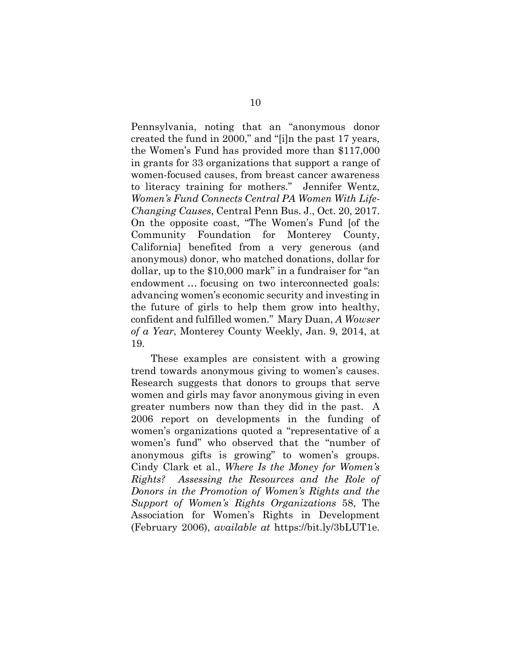Pennsylvania, noting that an "anonymous donor created the fund in 2000," and "[i]n the past 17 years, the Women's Fund has provided more than \$117,000 in grants for 33 organizations that support a range of women-focused causes, from breast cancer awareness to literacy training for mothers." Jennifer Wentz, *Women's Fund Connects Central PA Women With Life-Changing Causes*, Central Penn Bus. J., Oct. 20, 2017. On the opposite coast, "The Women's Fund [of the Community Foundation for Monterey County, California] benefited from a very generous (and anonymous) donor, who matched donations, dollar for dollar, up to the \$10,000 mark" in a fundraiser for "an endowment … focusing on two interconnected goals: advancing women's economic security and investing in the future of girls to help them grow into healthy, confident and fulfilled women." Mary Duan, *A Wowser of a Year*, Monterey County Weekly, Jan. 9, 2014, at 19.

These examples are consistent with a growing trend towards anonymous giving to women's causes. Research suggests that donors to groups that serve women and girls may favor anonymous giving in even greater numbers now than they did in the past. A 2006 report on developments in the funding of women's organizations quoted a "representative of a women's fund" who observed that the "number of anonymous gifts is growing" to women's groups. Cindy Clark et al., *Where Is the Money for Women's Rights? Assessing the Resources and the Role of Donors in the Promotion of Women's Rights and the Support of Women's Rights Organizations* 58, The Association for Women's Rights in Development (February 2006), *available at* https://bit.ly/3bLUT1e.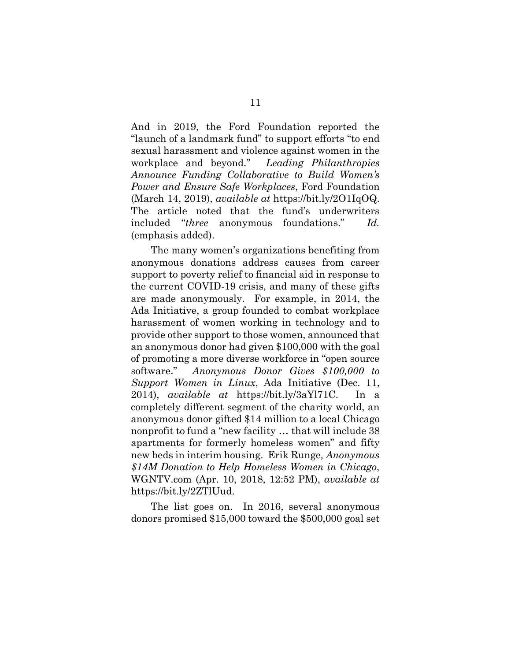And in 2019, the Ford Foundation reported the "launch of a landmark fund" to support efforts "to end sexual harassment and violence against women in the workplace and beyond." *Leading Philanthropies Announce Funding Collaborative to Build Women's Power and Ensure Safe Workplaces*, Ford Foundation (March 14, 2019), *available at* https://bit.ly/2O1IqOQ. The article noted that the fund's underwriters included "*three* anonymous foundations." *Id.* (emphasis added).

The many women's organizations benefiting from anonymous donations address causes from career support to poverty relief to financial aid in response to the current COVID-19 crisis, and many of these gifts are made anonymously. For example, in 2014, the Ada Initiative, a group founded to combat workplace harassment of women working in technology and to provide other support to those women, announced that an anonymous donor had given \$100,000 with the goal of promoting a more diverse workforce in "open source software." *Anonymous Donor Gives \$100,000 to Support Women in Linux*, Ada Initiative (Dec. 11, 2014), *available at* https://bit.ly/3aYl71C. In a completely different segment of the charity world, an anonymous donor gifted \$14 million to a local Chicago nonprofit to fund a "new facility … that will include 38 apartments for formerly homeless women" and fifty new beds in interim housing. Erik Runge*, Anonymous \$14M Donation to Help Homeless Women in Chicago*, WGNTV.com (Apr. 10, 2018, 12:52 PM), *available at* https://bit.ly/2ZTlUud.

The list goes on. In 2016, several anonymous donors promised \$15,000 toward the \$500,000 goal set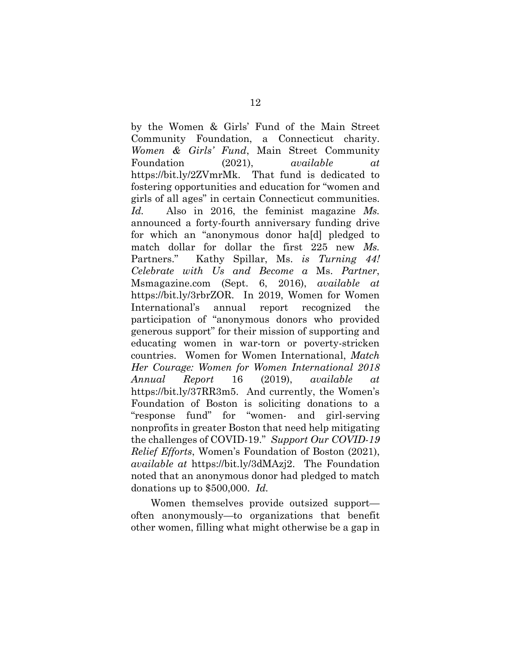by the Women & Girls' Fund of the Main Street Community Foundation, a Connecticut charity. *Women & Girls' Fund*, Main Street Community Foundation (2021), *available at* https://bit.ly/2ZVmrMk. That fund is dedicated to fostering opportunities and education for "women and girls of all ages" in certain Connecticut communities. *Id.* Also in 2016, the feminist magazine *Ms.* announced a forty-fourth anniversary funding drive for which an "anonymous donor ha[d] pledged to match dollar for dollar the first 225 new *Ms.*  Partners." Kathy Spillar, Ms. *is Turning 44! Celebrate with Us and Become a* Ms. *Partner*, Msmagazine.com (Sept. 6, 2016), *available at* https://bit.ly/3rbrZOR. In 2019, Women for Women International's annual report recognized the participation of "anonymous donors who provided generous support" for their mission of supporting and educating women in war-torn or poverty-stricken countries. Women for Women International, *Match Her Courage: Women for Women International 2018 Annual Report* 16 (2019), *available at* https://bit.ly/37RR3m5. And currently, the Women's Foundation of Boston is soliciting donations to a "response fund" for "women- and girl-serving nonprofits in greater Boston that need help mitigating the challenges of COVID-19." *Support Our COVID-19 Relief Efforts*, Women's Foundation of Boston (2021), *available at* https://bit.ly/3dMAzj2. The Foundation noted that an anonymous donor had pledged to match donations up to \$500,000. *Id.*

Women themselves provide outsized support often anonymously—to organizations that benefit other women, filling what might otherwise be a gap in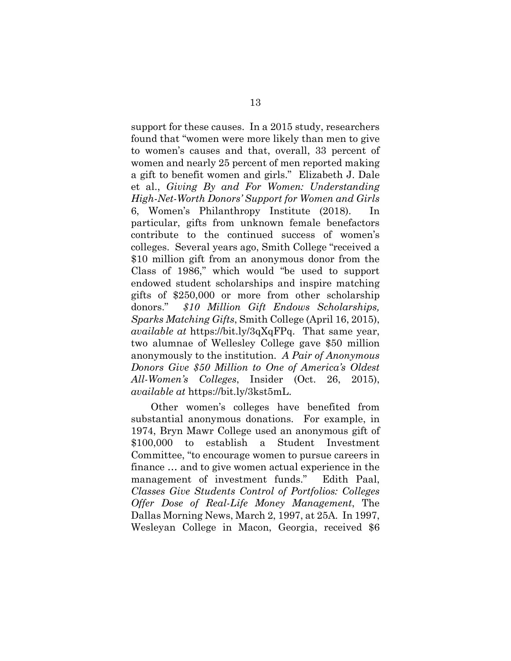support for these causes. In a 2015 study, researchers found that "women were more likely than men to give to women's causes and that, overall, 33 percent of women and nearly 25 percent of men reported making a gift to benefit women and girls." Elizabeth J. Dale et al., *Giving By and For Women: Understanding High-Net-Worth Donors' Support for Women and Girls* 6, Women's Philanthropy Institute (2018). In particular, gifts from unknown female benefactors contribute to the continued success of women's colleges. Several years ago, Smith College "received a \$10 million gift from an anonymous donor from the Class of 1986," which would "be used to support endowed student scholarships and inspire matching gifts of \$250,000 or more from other scholarship donors." *\$10 Million Gift Endows Scholarships, Sparks Matching Gifts*, Smith College (April 16, 2015), *available at* https://bit.ly/3qXqFPq. That same year, two alumnae of Wellesley College gave \$50 million anonymously to the institution. *A Pair of Anonymous Donors Give \$50 Million to One of America's Oldest All-Women's Colleges*, Insider (Oct. 26, 2015), *available at* https://bit.ly/3kst5mL.

Other women's colleges have benefited from substantial anonymous donations. For example, in 1974, Bryn Mawr College used an anonymous gift of \$100,000 to establish a Student Investment Committee, "to encourage women to pursue careers in finance … and to give women actual experience in the management of investment funds." Edith Paal, *Classes Give Students Control of Portfolios: Colleges Offer Dose of Real-Life Money Management*, The Dallas Morning News, March 2, 1997, at 25A. In 1997, Wesleyan College in Macon, Georgia, received \$6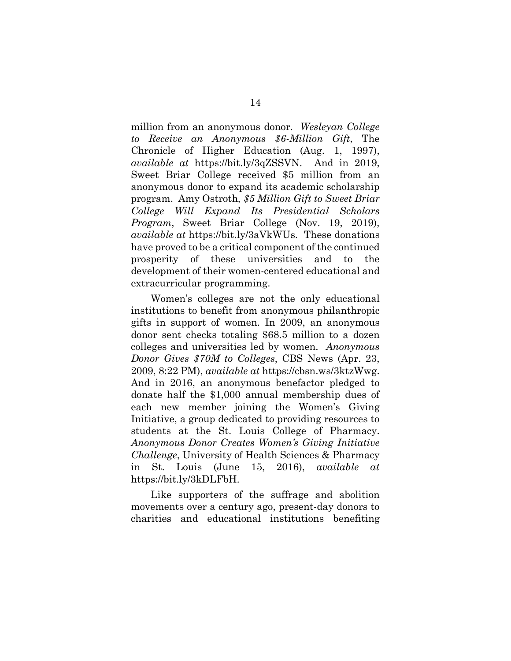million from an anonymous donor. *Wesleyan College to Receive an Anonymous \$6-Million Gift*, The Chronicle of Higher Education (Aug. 1, 1997), *available at* https://bit.ly/3qZSSVN. And in 2019, Sweet Briar College received \$5 million from an anonymous donor to expand its academic scholarship program. Amy Ostroth*, \$5 Million Gift to Sweet Briar College Will Expand Its Presidential Scholars Program*, Sweet Briar College (Nov. 19, 2019), *[available](https://sbc.edu/%E2%80%8Cnews/%E2%80%8C5-%E2%80%8Cmillion-%E2%80%8Cgift-%E2%80%8Cto-%E2%80%8Csweet-%E2%80%8Cbriar-%E2%80%8Ccollege-%E2%80%8Cwill-%E2%80%8Cexpand-%E2%80%8Cits-%E2%80%8Cpresidential-%E2%80%8Cscholars-%E2%80%8Cprogram/) at* https://bit.ly/3aVkWUs. These donations have proved to be a critical component of the continued prosperity of these universities and to the development of their women-centered educational and extracurricular programming.

Women's colleges are not the only educational institutions to benefit from anonymous philanthropic gifts in support of women. In 2009, an anonymous donor sent checks totaling \$68.5 million to a dozen colleges and universities led by women. *Anonymous Donor Gives \$70M to Colleges*, CBS News (Apr. 23, 2009, 8:22 PM), *available at* https://cbsn.ws/3ktzWwg. And in 2016, an anonymous benefactor pledged to donate half the \$1,000 annual membership dues of each new member joining the Women's Giving Initiative, a group dedicated to providing resources to students at the St. Louis College of Pharmacy. *Anonymous Donor Creates Women's Giving Initiative Challenge*, University of Health Sciences & Pharmacy in St. Louis (June 15, 2016), *available at* https://bit.ly/3kDLFbH.

Like supporters of the suffrage and abolition movements over a century ago, present-day donors to charities and educational institutions benefiting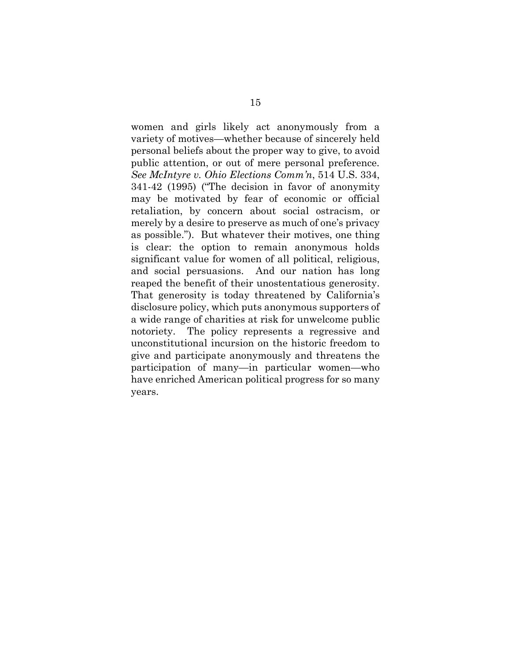women and girls likely act anonymously from a variety of motives—whether because of sincerely held personal beliefs about the proper way to give, to avoid public attention, or out of mere personal preference. *See McIntyre v. Ohio Elections Comm'n*, 514 U.S. 334, 341-42 (1995) ("The decision in favor of anonymity may be motivated by fear of economic or official retaliation, by concern about social ostracism, or merely by a desire to preserve as much of one's privacy as possible."). But whatever their motives, one thing is clear: the option to remain anonymous holds significant value for women of all political, religious, and social persuasions. And our nation has long reaped the benefit of their unostentatious generosity. That generosity is today threatened by California's disclosure policy, which puts anonymous supporters of a wide range of charities at risk for unwelcome public notoriety. The policy represents a regressive and unconstitutional incursion on the historic freedom to give and participate anonymously and threatens the participation of many—in particular women—who have enriched American political progress for so many years.